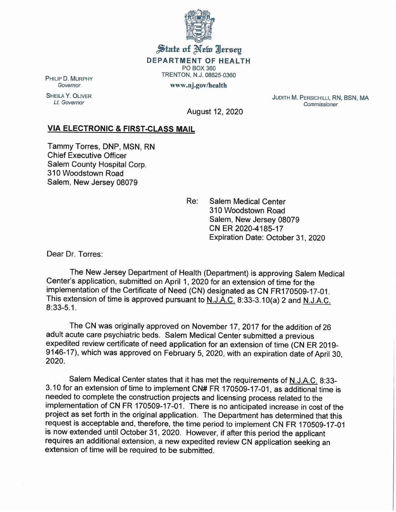

State of New Jersey DEPARTMENT OF HEALTH PO BOX 360 TRENTON. N.J. 08625-0360

www.nj.gov/health

PHILIP D. MURPHY<br>Governor

SHEILA Y. OLIVER Lt. Governor

JUDITH M. PERSICHILLI, RN, BSN, MA **Commissioner** 

August 12, 2020

## VIA ELECTRONIC & FIRST-CLASS MAIL

Tammy Torres, DNP, MSN, RN Chief Executive Officer Salem County Hospital Corp. 310 Woodstown Road Salem, New Jersey 08079

> Re: Salem Medical Center 310 Woodstown Road Salem, New Jersey 08079 CN ER 2020-4185-17 Expiration Date: October 31, 2020

Dear Dr. Torres:

The New Jersey Department of Health (Department) is approving Salem Medical Center's application, submitted on April 1, 2020 for an extension of time for the implementation of the Certificate of Need (CN) designated as CN FR170509-17-01. This extension of time is approved pursuant to N.J.A.C. 8:33-3.10(a) 2 and N.J.A.C. 8:33-5.1

The CN was originally approved on November 17, 2017 for the addition of 26 adult acute care psychiatric beds. Salem Medical Center submitted a previous expedited review certificate of need application for an extension of time (CN ER 2019- 9146-17), which was approved on February 5, 2020, with an expiration date of April 30, 2020

Salem Medical Center states that it has met the requirements of N. J.A.C. 8:33- 3.10 for an extension of time to implement CN# FR 170509-17-01, as additional time is needed to complete the construction projects and licensing process related to the implementation of CN FR 170509-17-01. There is no anticipated increase in cost of the project as set forth in the original application. The Department has determined that this request is acceptable and, therefore, the time period to implement CN FR 170509-17-01 is now extended until October 31, 2020. However, if after this period the applicant requires an additional extension, a new expedited review CN application seeking an extension of time will be required to be submitted.